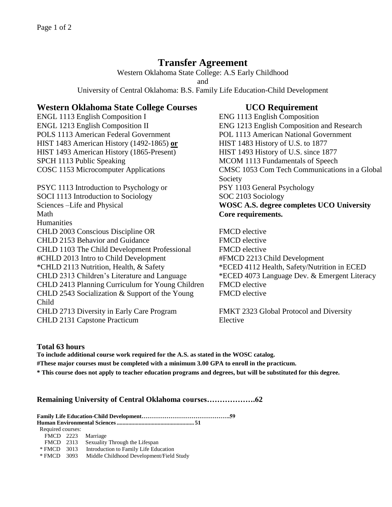# **Transfer Agreement**

Western Oklahoma State College: A.S Early Childhood and University of Central Oklahoma: B.S. Family Life Education-Child Development

## **Western Oklahoma State College Courses UCO Requirement**

ENGL 1113 English Composition I ENG 1113 English Composition POLS 1113 American Federal Government POL 1113 American National Government HIST 1483 American History (1492-1865) **or** HIST 1483 History of U.S. to 1877 HIST 1493 American History (1865-Present) HIST 1493 History of U.S. since 1877 SPCH 1113 Public Speaking MCOM 1113 Fundamentals of Speech

PSYC 1113 Introduction to Psychology or PSY 1103 General Psychology SOCI 1113 Introduction to Sociology SOC 2103 Sociology Sciences –Life and Physical **WOSC A.S. degree completes UCO University**  Math **Core requirements. Humanities** CHLD 2003 Conscious Discipline OR FMCD elective CHLD 2153 Behavior and Guidance FMCD elective CHLD 1103 The Child Development Professional FMCD elective #CHLD 2013 Intro to Child Development #FMCD 2213 Child Development \*CHLD 2113 Nutrition, Health, & Safety \*ECED 4112 Health, Safety/Nutrition in ECED CHLD 2313 Children's Literature and Language \*ECED 4073 Language Dev. & Emergent Literacy CHLD 2413 Planning Curriculum for Young Children FMCD elective CHLD 2543 Socialization & Support of the Young Child CHLD 2713 Diversity in Early Care Program FMKT 2323 Global Protocol and Diversity CHLD 2131 Capstone Practicum Elective

ENGL 1213 English Composition II ENG 1213 English Composition and Research COSC 1153 Microcomputer Applications CMSC 1053 Com Tech Communications in a Global Society

FMCD elective

### **Total 63 hours**

**To include additional course work required for the A.S. as stated in the WOSC catalog. #These major courses must be completed with a minimum 3.00 GPA to enroll in the practicum. \* This course does not apply to teacher education programs and degrees, but will be substituted for this degree.**

### **Remaining University of Central Oklahoma courses……………….62**

**Family Life Education-Child Development……………………………………….59 Human Environmental Sciences..................................................... 51** Required courses: FMCD 2223 Marriage FMCD 2313 Sexuality Through the Lifespan<br>\* FMCD 3013 Introduction to Family Life Edu Introduction to Family Life Education

\* FMCD 3093 Middle Childhood Development/Field Study